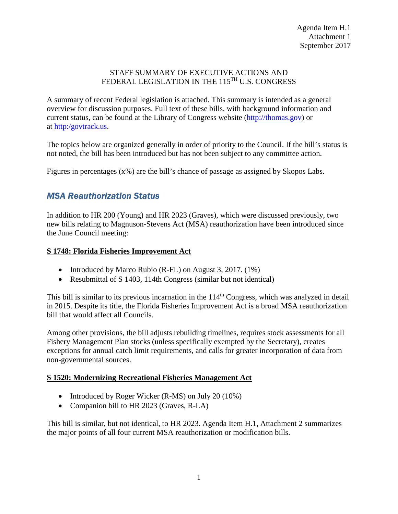#### STAFF SUMMARY OF EXECUTIVE ACTIONS AND FEDERAL LEGISLATION IN THE 115<sup>TH</sup> U.S. CONGRESS

A summary of recent Federal legislation is attached. This summary is intended as a general overview for discussion purposes. Full text of these bills, with background information and current status, can be found at the Library of Congress website [\(http://thomas.gov\)](http://thomas.gov/) or at [http:/govtrack.us.](http://govtrack.us/)

The topics below are organized generally in order of priority to the Council. If the bill's status is not noted, the bill has been introduced but has not been subject to any committee action.

Figures in percentages (x%) are the bill's chance of passage as assigned by Skopos Labs.

# *MSA Reauthorization Status*

In addition to HR 200 (Young) and HR 2023 (Graves), which were discussed previously, two new bills relating to Magnuson-Stevens Act (MSA) reauthorization have been introduced since the June Council meeting:

### **S 1748: Florida Fisheries Improvement Act**

- Introduced by Marco Rubio (R-FL) on August 3, 2017. (1%)
- Resubmittal of S 1403, 114th Congress (similar but not identical)

This bill is similar to its previous incarnation in the 114<sup>th</sup> Congress, which was analyzed in detail in 2015. Despite its title, the Florida Fisheries Improvement Act is a broad MSA reauthorization bill that would affect all Councils.

Among other provisions, the bill adjusts rebuilding timelines, requires stock assessments for all Fishery Management Plan stocks (unless specifically exempted by the Secretary), creates exceptions for annual catch limit requirements, and calls for greater incorporation of data from non-governmental sources.

## **S 1520: Modernizing Recreational Fisheries Management Act**

- Introduced by Roger Wicker (R-MS) on July 20 (10%)
- Companion bill to HR 2023 (Graves, R-LA)

This bill is similar, but not identical, to HR 2023. Agenda Item H.1, Attachment 2 summarizes the major points of all four current MSA reauthorization or modification bills.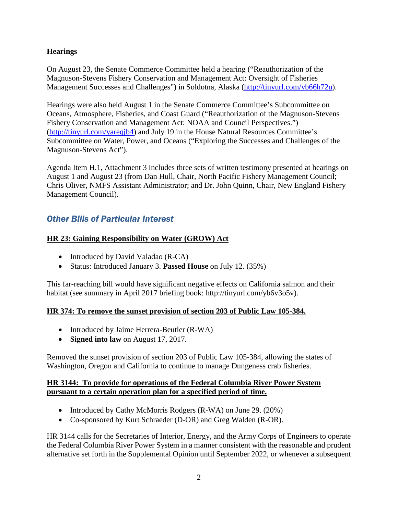### **Hearings**

On August 23, the Senate Commerce Committee held a hearing ("Reauthorization of the Magnuson-Stevens Fishery Conservation and Management Act: Oversight of Fisheries Management Successes and Challenges") in Soldotna, Alaska [\(http://tinyurl.com/yb66h72u\)](http://tinyurl.com/yb66h72u).

Hearings were also held August 1 in the Senate Commerce Committee's Subcommittee on Oceans, Atmosphere, Fisheries, and Coast Guard ("Reauthorization of the Magnuson-Stevens Fishery Conservation and Management Act: NOAA and Council Perspectives.") [\(http://tinyurl.com/yareqjb4\)](http://tinyurl.com/yareqjb4) and July 19 in the House Natural Resources Committee's Subcommittee on Water, Power, and Oceans ("Exploring the Successes and Challenges of the Magnuson-Stevens Act").

Agenda Item H.1, Attachment 3 includes three sets of written testimony presented at hearings on August 1 and August 23 (from Dan Hull, Chair, North Pacific Fishery Management Council; Chris Oliver, NMFS Assistant Administrator; and Dr. John Quinn, Chair, New England Fishery Management Council).

# *Other Bills of Particular Interest*

## **HR 23: Gaining Responsibility on Water (GROW) Act**

- Introduced by David Valadao (R-CA)
- Status: Introduced January 3. **Passed House** on July 12. (35%)

This far-reaching bill would have significant negative effects on California salmon and their habitat (see summary in April 2017 briefing book: http://tinyurl.com/yb6v3o5v).

## **HR 374: To remove the sunset provision of section 203 of Public Law 105-384.**

- Introduced by Jaime Herrera-Beutler (R-WA)
- **Signed into law** on August 17, 2017.

Removed the sunset provision of section 203 of Public Law 105-384, allowing the states of Washington, Oregon and California to continue to manage Dungeness crab fisheries.

### **HR 3144: To provide for operations of the Federal Columbia River Power System pursuant to a certain operation plan for a specified period of time.**

- Introduced by Cathy McMorris Rodgers (R-WA) on June 29. (20%)
- Co-sponsored by Kurt Schraeder (D-OR) and Greg Walden (R-OR).

HR 3144 calls for the Secretaries of Interior, Energy, and the Army Corps of Engineers to operate the Federal Columbia River Power System in a manner consistent with the reasonable and prudent alternative set forth in the Supplemental Opinion until September 2022, or whenever a subsequent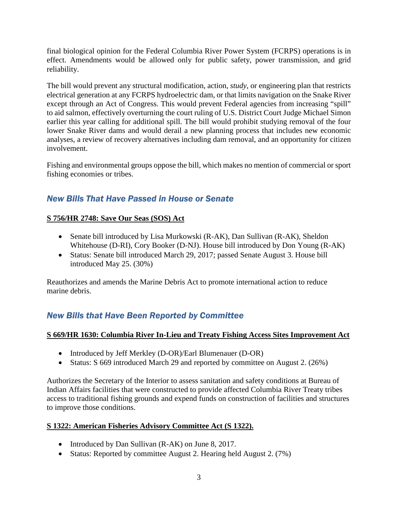final biological opinion for the Federal Columbia River Power System (FCRPS) operations is in effect. Amendments would be allowed only for public safety, power transmission, and grid reliability.

The bill would prevent any structural modification, action, *study*, or engineering plan that restricts electrical generation at any FCRPS hydroelectric dam, or that limits navigation on the Snake River except through an Act of Congress. This would prevent Federal agencies from increasing "spill" to aid salmon, effectively overturning the court ruling of U.S. District Court Judge Michael Simon earlier this year calling for additional spill. The bill would prohibit studying removal of the four lower Snake River dams and would derail a new planning process that includes new economic analyses, a review of recovery alternatives including dam removal, and an opportunity for citizen involvement.

Fishing and environmental groups oppose the bill, which makes no mention of commercial or sport fishing economies or tribes.

# *New Bills That Have Passed in House or Senate*

## **S 756/HR 2748: Save Our Seas (SOS) Act**

- Senate bill introduced by Lisa Murkowski (R-AK), Dan Sullivan (R-AK), Sheldon Whitehouse (D-RI), Cory Booker (D-NJ). House bill introduced by Don Young (R-AK)
- Status: Senate bill introduced March 29, 2017; passed Senate August 3. House bill introduced May 25. (30%)

Reauthorizes and amends the Marine Debris Act to promote international action to reduce marine debris.

# *New Bills that Have Been Reported by Committee*

### **S 669/HR 1630: Columbia River In-Lieu and Treaty Fishing Access Sites Improvement Act**

- Introduced by Jeff Merkley (D-OR)/Earl Blumenauer (D-OR)
- Status: S 669 introduced March 29 and reported by committee on August 2. (26%)

Authorizes the Secretary of the Interior to assess sanitation and safety conditions at Bureau of Indian Affairs facilities that were constructed to provide affected Columbia River Treaty tribes access to traditional fishing grounds and expend funds on construction of facilities and structures to improve those conditions.

## **S 1322: American Fisheries Advisory Committee Act (S 1322).**

- Introduced by Dan Sullivan (R-AK) on June 8, 2017.
- Status: Reported by committee August 2. Hearing held August 2. (7%)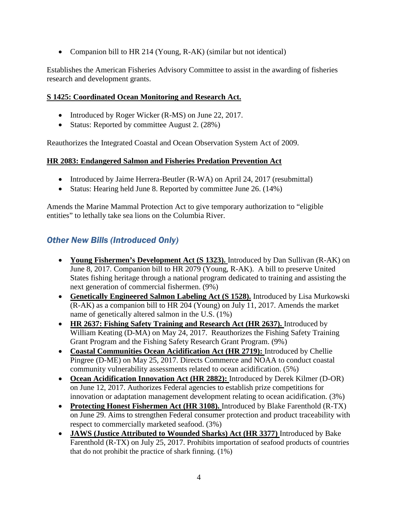• Companion bill to HR 214 (Young, R-AK) (similar but not identical)

Establishes the American Fisheries Advisory Committee to assist in the awarding of fisheries research and development grants.

### **S 1425: Coordinated Ocean Monitoring and Research Act.**

- Introduced by Roger Wicker (R-MS) on June 22, 2017.
- Status: Reported by committee August 2. (28%)

Reauthorizes the Integrated Coastal and Ocean Observation System Act of 2009.

#### **HR 2083: Endangered Salmon and Fisheries Predation Prevention Act**

- Introduced by Jaime Herrera-Beutler (R-WA) on April 24, 2017 (resubmittal)
- Status: Hearing held June 8. Reported by committee June 26. (14%)

Amends the Marine Mammal Protection Act to give temporary authorization to "eligible entities" to lethally take sea lions on the Columbia River.

# *Other New Bills (Introduced Only)*

- **Young Fishermen's Development Act (S 1323).** Introduced by Dan Sullivan (R-AK) on June 8, 2017. Companion bill to HR 2079 (Young, R-AK). A bill to preserve United States fishing heritage through a national program dedicated to training and assisting the next generation of commercial fishermen. (9%)
- **Genetically Engineered Salmon Labeling Act (S 1528).** Introduced by Lisa Murkowski (R-AK) as a companion bill to HR 204 (Young) on July 11, 2017. Amends the market name of genetically altered salmon in the U.S. (1%)
- **HR 2637: Fishing Safety Training and Research Act (HR 2637).** Introduced by William Keating (D-MA) on May 24, 2017. Reauthorizes the Fishing Safety Training Grant Program and the Fishing Safety Research Grant Program. (9%)
- **Coastal Communities Ocean Acidification Act (HR 2719):** Introduced by Chellie Pingree (D-ME) on May 25, 2017. Directs Commerce and NOAA to conduct coastal community vulnerability assessments related to ocean acidification. (5%)
- **Ocean Acidification Innovation Act (HR 2882):** Introduced by Derek Kilmer (D-OR) on June 12, 2017. Authorizes Federal agencies to establish prize competitions for innovation or adaptation management development relating to ocean acidification. (3%)
- **Protecting Honest Fishermen Act (HR 3108).** Introduced by Blake Farenthold (R-TX) on June 29. Aims to strengthen Federal consumer protection and product traceability with respect to commercially marketed seafood. (3%)
- **JAWS (Justice Attributed to Wounded Sharks) Act (HR 3377)** Introduced by Bake Farenthold (R-TX) on July 25, 2017. Prohibits importation of seafood products of countries that do not prohibit the practice of shark finning. (1%)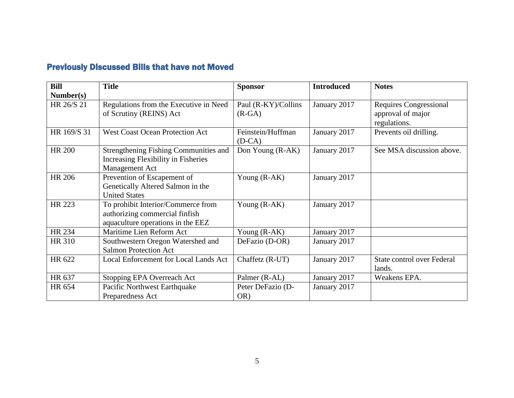# Previously Discussed Bills that have not Moved

| <b>Bill</b>   | <b>Title</b>                           | <b>Sponsor</b>      | <b>Introduced</b> | <b>Notes</b>                      |
|---------------|----------------------------------------|---------------------|-------------------|-----------------------------------|
| Number(s)     |                                        |                     |                   |                                   |
| HR 26/S 21    | Regulations from the Executive in Need | Paul (R-KY)/Collins | January 2017      | <b>Requires Congressional</b>     |
|               | of Scrutiny (REINS) Act                | $(R-GA)$            |                   | approval of major                 |
|               |                                        |                     |                   | regulations.                      |
| HR 169/S 31   | <b>West Coast Ocean Protection Act</b> | Feinstein/Huffman   | January 2017      | Prevents oil drilling.            |
|               |                                        | $(D-CA)$            |                   |                                   |
| <b>HR 200</b> | Strengthening Fishing Communities and  | Don Young (R-AK)    | January 2017      | See MSA discussion above.         |
|               | Increasing Flexibility in Fisheries    |                     |                   |                                   |
|               | Management Act                         |                     |                   |                                   |
| <b>HR 206</b> | Prevention of Escapement of            | Young (R-AK)        | January 2017      |                                   |
|               | Genetically Altered Salmon in the      |                     |                   |                                   |
|               | <b>United States</b>                   |                     |                   |                                   |
| HR 223        | To prohibit Interior/Commerce from     | Young $(R-AK)$      | January 2017      |                                   |
|               | authorizing commercial finfish         |                     |                   |                                   |
|               | aquaculture operations in the EEZ      |                     |                   |                                   |
| HR 234        | Maritime Lien Reform Act               | Young (R-AK)        | January 2017      |                                   |
| <b>HR 310</b> | Southwestern Oregon Watershed and      | DeFazio (D-OR)      | January 2017      |                                   |
|               | <b>Salmon Protection Act</b>           |                     |                   |                                   |
| HR 622        | Local Enforcement for Local Lands Act  | Chaffetz (R-UT)     | January 2017      | <b>State control over Federal</b> |
|               |                                        |                     |                   | lands.                            |
| HR 637        | Stopping EPA Overreach Act             | Palmer (R-AL)       | January 2017      | Weakens EPA.                      |
| HR 654        | Pacific Northwest Earthquake           | Peter DeFazio (D-   | January 2017      |                                   |
|               | Preparedness Act                       | OR)                 |                   |                                   |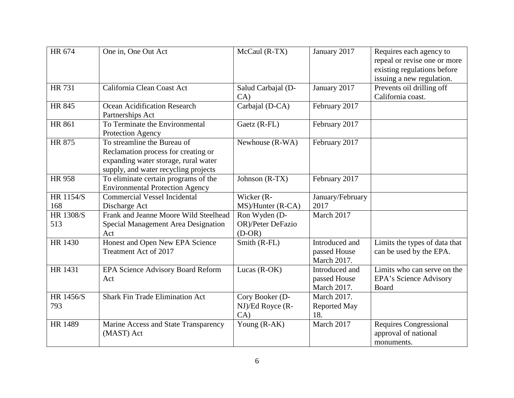| HR 674                  | One in, One Out Act                                                                                                                                | McCaul (R-TX)                                  | January 2017                                  | Requires each agency to<br>repeal or revise one or more<br>existing regulations before<br>issuing a new regulation. |
|-------------------------|----------------------------------------------------------------------------------------------------------------------------------------------------|------------------------------------------------|-----------------------------------------------|---------------------------------------------------------------------------------------------------------------------|
| <b>HR 731</b>           | California Clean Coast Act                                                                                                                         | Salud Carbajal (D-<br>CA)                      | January 2017                                  | Prevents oil drilling off<br>California coast.                                                                      |
| <b>HR 845</b>           | Ocean Acidification Research<br>Partnerships Act                                                                                                   | Carbajal (D-CA)                                | February 2017                                 |                                                                                                                     |
| <b>HR 861</b>           | To Terminate the Environmental<br>Protection Agency                                                                                                | Gaetz (R-FL)                                   | February 2017                                 |                                                                                                                     |
| <b>HR 875</b>           | To streamline the Bureau of<br>Reclamation process for creating or<br>expanding water storage, rural water<br>supply, and water recycling projects | Newhouse (R-WA)                                | February 2017                                 |                                                                                                                     |
| <b>HR 958</b>           | To eliminate certain programs of the<br><b>Environmental Protection Agency</b>                                                                     | Johnson (R-TX)                                 | February 2017                                 |                                                                                                                     |
| HR 1154/S<br>168        | <b>Commercial Vessel Incidental</b><br>Discharge Act                                                                                               | Wicker (R-<br>MS)/Hunter (R-CA)                | January/February<br>2017                      |                                                                                                                     |
| <b>HR 1308/S</b><br>513 | Frank and Jeanne Moore Wild Steelhead<br>Special Management Area Designation<br>Act                                                                | Ron Wyden (D-<br>OR)/Peter DeFazio<br>$(D-OR)$ | March 2017                                    |                                                                                                                     |
| HR 1430                 | Honest and Open New EPA Science<br>Treatment Act of 2017                                                                                           | Smith (R-FL)                                   | Introduced and<br>passed House<br>March 2017. | Limits the types of data that<br>can be used by the EPA.                                                            |
| HR 1431                 | EPA Science Advisory Board Reform<br>Act                                                                                                           | Lucas (R-OK)                                   | Introduced and<br>passed House<br>March 2017. | Limits who can serve on the<br>EPA's Science Advisory<br>Board                                                      |
| HR 1456/S<br>793        | <b>Shark Fin Trade Elimination Act</b>                                                                                                             | Cory Booker (D-<br>NJ)/Ed Royce (R-<br>CA)     | March 2017.<br>Reported May<br>18.            |                                                                                                                     |
| <b>HR 1489</b>          | Marine Access and State Transparency<br>(MAST) Act                                                                                                 | Young (R-AK)                                   | March 2017                                    | <b>Requires Congressional</b><br>approval of national<br>monuments.                                                 |